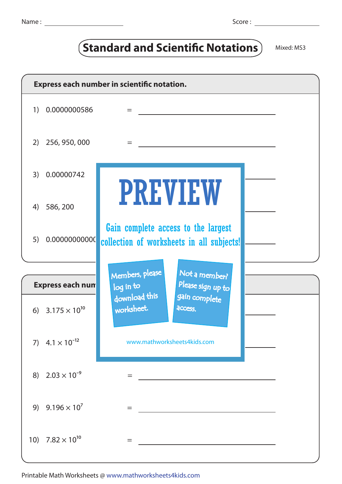| I |  | ٧<br>× |  |
|---|--|--------|--|
|   |  |        |  |

## **(Standard and Scientific Notations)** Mixed: MS3

|                         | Express each number in scientific notation. |                                                                                  |  |  |  |  |  |
|-------------------------|---------------------------------------------|----------------------------------------------------------------------------------|--|--|--|--|--|
| 1)                      | 0.0000000586                                | $=$                                                                              |  |  |  |  |  |
| 2)                      | 256, 950, 000                               | $=$                                                                              |  |  |  |  |  |
| 3)                      | 0.00000742                                  |                                                                                  |  |  |  |  |  |
| 4)                      | 586, 200                                    | <b>PREVIEW</b>                                                                   |  |  |  |  |  |
| 5)                      | 0.00000000000                               | Gain complete access to the largest<br>collection of worksheets in all subjects! |  |  |  |  |  |
|                         |                                             |                                                                                  |  |  |  |  |  |
| <b>Express each num</b> |                                             | Members, please<br>Not a member?<br>Please sign up to<br>log in to               |  |  |  |  |  |
|                         | 6) $3.175 \times 10^{10}$                   | download this<br>gain complete<br>worksheet.<br>access.                          |  |  |  |  |  |
|                         | 7) $4.1 \times 10^{-12}$                    | www.mathworksheets4kids.com                                                      |  |  |  |  |  |
|                         | 8) $2.03 \times 10^{-9}$                    | =                                                                                |  |  |  |  |  |
| 9)                      | $9.196 \times 10^{7}$                       | $=$                                                                              |  |  |  |  |  |
|                         | 10) $7.82 \times 10^{10}$                   | $=$                                                                              |  |  |  |  |  |

Printable Math Worksheets @ www.mathworksheets4kids.com